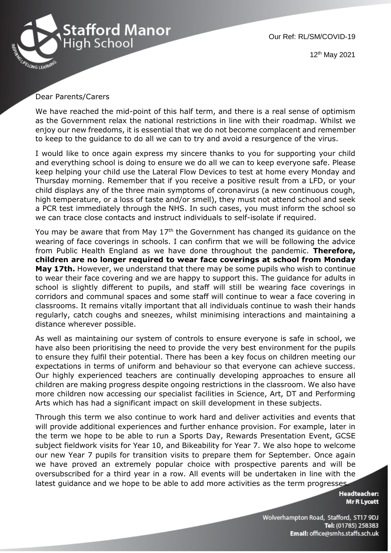

Our Ref: RL/SM/COVID-19

12th May 2021

## Dear Parents/Carers

We have reached the mid-point of this half term, and there is a real sense of optimism as the Government relax the national restrictions in line with their roadmap. Whilst we enjoy our new freedoms, it is essential that we do not become complacent and remember to keep to the guidance to do all we can to try and avoid a resurgence of the virus.

I would like to once again express my sincere thanks to you for supporting your child and everything school is doing to ensure we do all we can to keep everyone safe. Please keep helping your child use the Lateral Flow Devices to test at home every Monday and Thursday morning. Remember that if you receive a positive result from a LFD, or your child displays any of the three main symptoms of coronavirus (a new continuous cough, high temperature, or a loss of taste and/or smell), they must not attend school and seek a PCR test immediately through the NHS. In such cases, you must inform the school so we can trace close contacts and instruct individuals to self-isolate if required.

You may be aware that from May  $17<sup>th</sup>$  the Government has changed its guidance on the wearing of face coverings in schools. I can confirm that we will be following the advice from Public Health England as we have done throughout the pandemic. **Therefore, children are no longer required to wear face coverings at school from Monday May 17th.** However, we understand that there may be some pupils who wish to continue to wear their face covering and we are happy to support this. The guidance for adults in school is slightly different to pupils, and staff will still be wearing face coverings in corridors and communal spaces and some staff will continue to wear a face covering in classrooms. It remains vitally important that all individuals continue to wash their hands regularly, catch coughs and sneezes, whilst minimising interactions and maintaining a distance wherever possible.

As well as maintaining our system of controls to ensure everyone is safe in school, we have also been prioritising the need to provide the very best environment for the pupils to ensure they fulfil their potential. There has been a key focus on children meeting our expectations in terms of uniform and behaviour so that everyone can achieve success. Our highly experienced teachers are continually developing approaches to ensure all children are making progress despite ongoing restrictions in the classroom. We also have more children now accessing our specialist facilities in Science, Art, DT and Performing Arts which has had a significant impact on skill development in these subjects.

Through this term we also continue to work hard and deliver activities and events that will provide additional experiences and further enhance provision. For example, later in the term we hope to be able to run a Sports Day, Rewards Presentation Event, GCSE subject fieldwork visits for Year 10, and Bikeability for Year 7. We also hope to welcome our new Year 7 pupils for transition visits to prepare them for September. Once again we have proved an extremely popular choice with prospective parents and will be oversubscribed for a third year in a row. All events will be undertaken in line with the latest guidance and we hope to be able to add more activities as the term progresses.

> **Headteacher: Mr R Lycett**

Wolverhampton Road, Stafford, ST17 9DJ Tel: (01785) 258383 Email: office@smhs.staffs.sch.uk